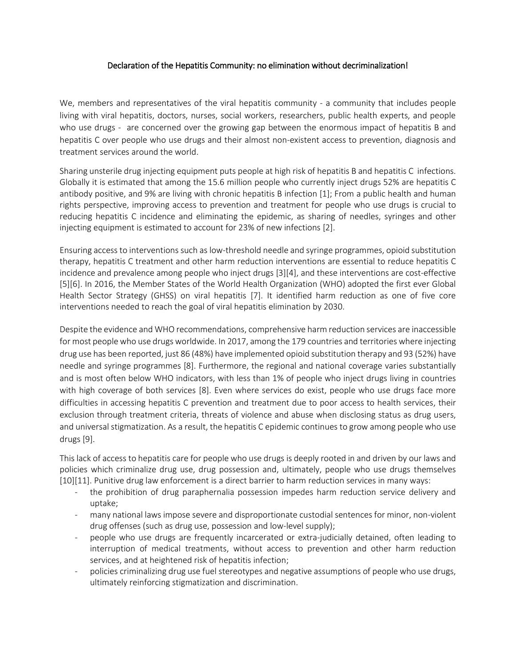## Declaration of the Hepatitis Community: no elimination without decriminalization!

We, members and representatives of the viral hepatitis community - a community that includes people living with viral hepatitis, doctors, nurses, social workers, researchers, public health experts, and people who use drugs - are concerned over the growing gap between the enormous impact of hepatitis B and hepatitis C over people who use drugs and their almost non-existent access to prevention, diagnosis and treatment services around the world.

Sharing unsterile drug injecting equipment puts people at high risk of hepatitis B and hepatitis C infections. Globally it is estimated that among the 15.6 million people who currently inject drugs 52% are hepatitis C antibody positive, and 9% are living with chronic hepatitis B infection [1]; From a public health and human rights perspective, improving access to prevention and treatment for people who use drugs is crucial to reducing hepatitis C incidence and eliminating the epidemic, as sharing of needles, syringes and other injecting equipment is estimated to account for 23% of new infections [2].

Ensuring access to interventions such as low-threshold needle and syringe programmes, opioid substitution therapy, hepatitis C treatment and other harm reduction interventions are essential to reduce hepatitis C incidence and prevalence among people who inject drugs [3][4], and these interventions are cost-effective [5][6]. In 2016, the Member States of the World Health Organization (WHO) adopted the first ever Global Health Sector Strategy (GHSS) on viral hepatitis [7]. It identified harm reduction as one of five core interventions needed to reach the goal of viral hepatitis elimination by 2030.

Despite the evidence and WHO recommendations, comprehensive harm reduction services are inaccessible for most people who use drugs worldwide. In 2017, among the 179 countries and territories where injecting drug use has been reported, just 86 (48%) have implemented opioid substitution therapy and 93 (52%) have needle and syringe programmes [8]. Furthermore, the regional and national coverage varies substantially and is most often below WHO indicators, with less than 1% of people who inject drugs living in countries with high coverage of both services [8]. Even where services do exist, people who use drugs face more difficulties in accessing hepatitis C prevention and treatment due to poor access to health services, their exclusion through treatment criteria, threats of violence and abuse when disclosing status as drug users, and universal stigmatization. As a result, the hepatitis C epidemic continues to grow among people who use drugs [9].

This lack of access to hepatitis care for people who use drugs is deeply rooted in and driven by our laws and policies which criminalize drug use, drug possession and, ultimately, people who use drugs themselves [10][11]. Punitive drug law enforcement is a direct barrier to harm reduction services in many ways:

- the prohibition of drug paraphernalia possession impedes harm reduction service delivery and uptake;
- many national laws impose severe and disproportionate custodial sentences for minor, non-violent drug offenses (such as drug use, possession and low-level supply);
- people who use drugs are frequently incarcerated or extra-judicially detained, often leading to interruption of medical treatments, without access to prevention and other harm reduction services, and at heightened risk of hepatitis infection;
- policies criminalizing drug use fuel stereotypes and negative assumptions of people who use drugs, ultimately reinforcing stigmatization and discrimination.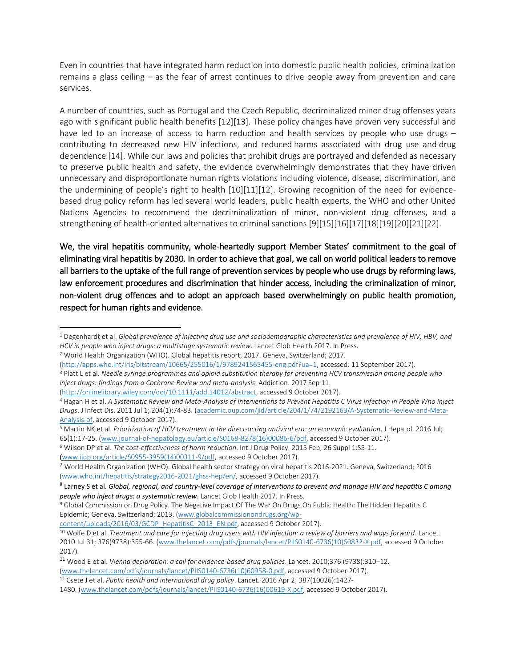Even in countries that have integrated harm reduction into domestic public health policies, criminalization remains a glass ceiling – as the fear of arrest continues to drive people away from prevention and care services.

A number of countries, such as Portugal and the Czech Republic, decriminalized minor drug offenses years ago with significant public health benefits [12][13]. These policy changes have proven very successful and have led to an increase of access to harm reduction and health services by people who use drugs – contributing to decreased new HIV infections, and reduced harms associated with drug use and drug dependence [14]. While our laws and policies that prohibit drugs are portrayed and defended as necessary to preserve public health and safety, the evidence overwhelmingly demonstrates that they have driven unnecessary and disproportionate human rights violations including violence, disease, discrimination, and the undermining of people's right to health [10][11][12]. Growing recognition of the need for evidencebased drug policy reform has led several world leaders, public health experts, the WHO and other United Nations Agencies to recommend the decriminalization of minor, non-violent drug offenses, and a strengthening of health-oriented alternatives to criminal sanctions [9][15][16][17][18][19][20][21][22].

We, the viral hepatitis community, whole-heartedly support Member States' commitment to the goal of eliminating viral hepatitis by 2030. In order to achieve that goal, we call on world political leaders to remove all barriers to the uptake of the full range of prevention services by people who use drugs by reforming laws, law enforcement procedures and discrimination that hinder access, including the criminalization of minor, non-violent drug offences and to adopt an approach based overwhelmingly on public health promotion, respect for human rights and evidence.

[\(http://apps.who.int/iris/bitstream/10665/255016/1/9789241565455-eng.pdf?ua=1,](http://apps.who.int/iris/bitstream/10665/255016/1/9789241565455-eng.pdf?ua=1) accessed: 11 September 2017).

 $\ddot{\phantom{a}}$ 

[content/uploads/2016/03/GCDP\\_HepatitisC\\_2013\\_EN.pdf,](http://www.globalcommissionondrugs.org/wp-content/uploads/2016/03/GCDP_HepatitisC_2013_EN.pdf) accessed 9 October 2017).

<sup>1</sup> Degenhardt et al. *Global prevalence of injecting drug use and sociodemographic characteristics and prevalence of HIV, HBV, and HCV in people who inject drugs: a multistage systematic review*. Lancet Glob Health 2017. In Press.

<sup>2</sup> World Health Organization (WHO). Global hepatitis report, 2017. Geneva, Switzerland; 2017.

<sup>3</sup> Platt L et al*. Needle syringe programmes and opioid substitution therapy for preventing HCV transmission among people who inject drugs: findings from a Cochrane Review and meta-analysis*. Addiction. 2017 Sep 11.

[<sup>\(</sup>http://onlinelibrary.wiley.com/doi/10.1111/add.14012/abstract,](http://onlinelibrary.wiley.com/doi/10.1111/add.14012/abstract) accessed 9 October 2017).

<sup>4</sup> Hagan H et al. *A Systematic Review and Meta-Analysis of Interventions to Prevent Hepatitis C Virus Infection in People Who Inject Drugs*[. J Infect Dis.](https://www.ncbi.nlm.nih.gov/pubmed/?term=A+Systematic+Review+and+Meta-Analysis+of+Interventions+to+Prevent+Hepatitis+C+Virus+Infection+in+People+Who+Inject+Drugs.) 2011 Jul 1; 204(1):74-83. [\(academic.oup.com/jid/article/204/1/74/2192163/A-Systematic-Review-and-Meta-](https://academic.oup.com/jid/article/204/1/74/2192163/A-Systematic-Review-and-Meta-Analysis-of)[Analysis-of,](https://academic.oup.com/jid/article/204/1/74/2192163/A-Systematic-Review-and-Meta-Analysis-of) accessed 9 October 2017).

<sup>5</sup> Martin NK et al. *Prioritization of HCV treatment in the direct-acting antiviral era: an economic evaluation*. [J Hepatol.](https://www.ncbi.nlm.nih.gov/pubmed/?term=Prioritization+of+HCV+treatment+in+the+direct-acting+antiviral+era%3A+an+economic+evaluation.) 2016 Jul; 65(1):17-25. [\(www.journal-of-hepatology.eu/article/S0168-8278\(16\)00086-6/pdf,](http://www.journal-of-hepatology.eu/article/S0168-8278(16)00086-6/pdf) accessed 9 October 2017).

<sup>6</sup> Wilson DP et al. *The cost-effectiveness of harm reduction*. [Int J Drug Policy.](https://www.ncbi.nlm.nih.gov/pubmed/25727260) 2015 Feb; 26 Suppl 1:S5-11.

<sup>(</sup>[www.ijdp.org/article/S0955-3959\(14\)00311-9/pdf](http://www.ijdp.org/article/S0955-3959(14)00311-9/pdf), accessed 9 October 2017).

<sup>&</sup>lt;sup>7</sup> World Health Organization (WHO). Global health sector strategy on viral hepatitis 2016-2021. Geneva, Switzerland; 2016 [\(www.who.int/hepatitis/strategy2016-2021/ghss-hep/en/,](http://www.who.int/hepatitis/strategy2016-2021/ghss-hep/en/) accessed 9 October 2017).

<sup>8</sup> Larney S et al. *Global, regional, and country-level coverage of interventions to prevent and manage HIV and hepatitis C among people who inject drugs: a systematic review*. Lancet Glob Health 2017. In Press.

<sup>9</sup> Global Commission on Drug Policy. The Negative Impact Of The War On Drugs On Public Health: The Hidden Hepatitis C Epidemic; Geneva, Switzerland; 2013. [\(www.globalcommissionondrugs.org/wp-](http://www.globalcommissionondrugs.org/wp-content/uploads/2016/03/GCDP_HepatitisC_2013_EN.pdf)

<sup>10</sup> Wolfe D et al. *Treatment and care for injecting drug users with HIV infection: a review of barriers and ways forward*. Lancet. 2010 Jul 31; 376(9738):355-66. [\(www.thelancet.com/pdfs/journals/lancet/PIIS0140-6736\(10\)60832-X.pdf,](http://www.thelancet.com/pdfs/journals/lancet/PIIS0140-6736(10)60832-X.pdf) accessed 9 October 2017).

<sup>11</sup> Wood E et al. *Vienna declaration: a call for evidence-based drug policies*. Lancet. 2010;376 (9738):310–12.

[<sup>\(</sup>www.thelancet.com/pdfs/journals/lancet/PIIS0140-6736\(10\)60958-0.pdf,](http://www.thelancet.com/pdfs/journals/lancet/PIIS0140-6736(10)60958-0.pdf) accessed 9 October 2017).

<sup>12</sup> Csete J et al. *Public health and international drug policy*[. Lancet.](https://www.ncbi.nlm.nih.gov/pubmed/27021149) 2016 Apr 2; 387(10026):1427-

<sup>1480.</sup> [\(www.thelancet.com/pdfs/journals/lancet/PIIS0140-6736\(16\)00619-X.pdf,](http://www.thelancet.com/pdfs/journals/lancet/PIIS0140-6736(16)00619-X.pdf) accessed 9 October 2017).